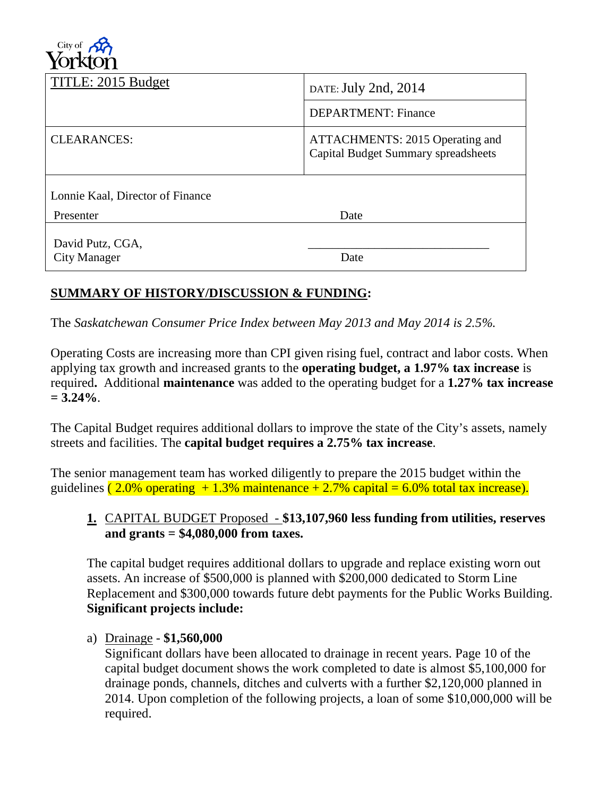

| DATE: July 2nd, 2014                                                          |
|-------------------------------------------------------------------------------|
| <b>DEPARTMENT: Finance</b>                                                    |
| ATTACHMENTS: 2015 Operating and<br><b>Capital Budget Summary spreadsheets</b> |
|                                                                               |
| Date                                                                          |
| Date                                                                          |
|                                                                               |

# **SUMMARY OF HISTORY/DISCUSSION & FUNDING:**

The *Saskatchewan Consumer Price Index between May 2013 and May 2014 is 2.5%.*

Operating Costs are increasing more than CPI given rising fuel, contract and labor costs. When applying tax growth and increased grants to the **operating budget, a 1.97% tax increase** is required**.** Additional **maintenance** was added to the operating budget for a **1.27% tax increase = 3.24%**.

The Capital Budget requires additional dollars to improve the state of the City's assets, namely streets and facilities. The **capital budget requires a 2.75% tax increase**.

The senior management team has worked diligently to prepare the 2015 budget within the guidelines  $(2.0\%$  operating  $+1.3\%$  maintenance  $+2.7\%$  capital = 6.0% total tax increase).

### **1.** CAPITAL BUDGET Proposed - **\$13,107,960 less funding from utilities, reserves and grants = \$4,080,000 from taxes.**

The capital budget requires additional dollars to upgrade and replace existing worn out assets. An increase of \$500,000 is planned with \$200,000 dedicated to Storm Line Replacement and \$300,000 towards future debt payments for the Public Works Building. **Significant projects include:** 

#### a) Drainage - **\$1,560,000**

Significant dollars have been allocated to drainage in recent years. Page 10 of the capital budget document shows the work completed to date is almost \$5,100,000 for drainage ponds, channels, ditches and culverts with a further \$2,120,000 planned in 2014. Upon completion of the following projects, a loan of some \$10,000,000 will be required.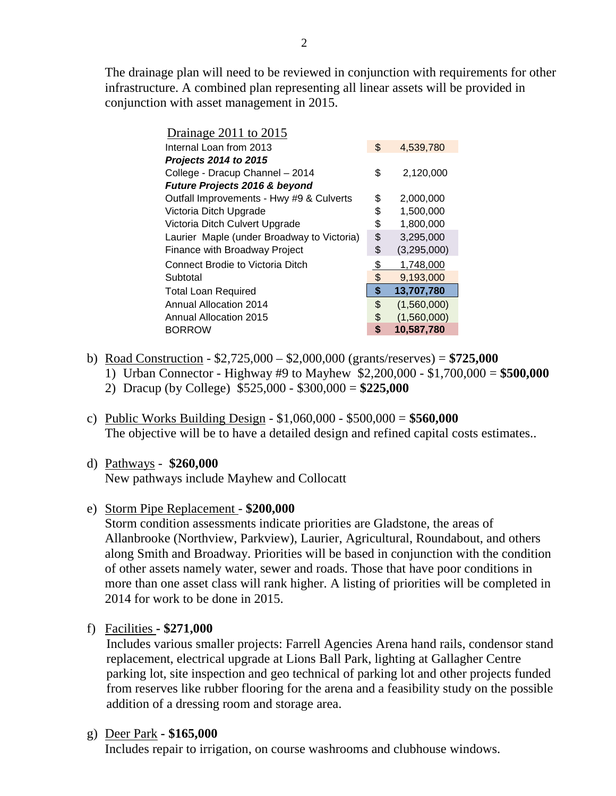The drainage plan will need to be reviewed in conjunction with requirements for other infrastructure. A combined plan representing all linear assets will be provided in conjunction with asset management in 2015.

| \$<br>Internal Loan from 2013<br>4,539,780<br>Projects 2014 to 2015<br>\$<br>College - Dracup Channel - 2014<br>2,120,000<br>Future Projects 2016 & beyond<br>Outfall Improvements - Hwy #9 & Culverts<br>\$<br>2,000,000<br>1,500,000<br>Victoria Ditch Upgrade<br>\$<br>Victoria Ditch Culvert Upgrade<br>\$<br>1,800,000<br>\$<br>Laurier Maple (under Broadway to Victoria)<br>3,295,000<br>\$<br>(3,295,000)<br>Finance with Broadway Project<br><b>Connect Brodie to Victoria Ditch</b><br>\$<br>1,748,000<br>\$<br>9,193,000<br>Subtotal<br>\$<br>13,707,780<br><b>Total Loan Required</b><br>\$<br><b>Annual Allocation 2014</b><br>(1,560,000)<br>\$<br>(1,560,000)<br><b>Annual Allocation 2015</b><br>\$<br><b>BORROW</b><br>10,587,780 | Drainage $2011$ to $2015$ |  |
|----------------------------------------------------------------------------------------------------------------------------------------------------------------------------------------------------------------------------------------------------------------------------------------------------------------------------------------------------------------------------------------------------------------------------------------------------------------------------------------------------------------------------------------------------------------------------------------------------------------------------------------------------------------------------------------------------------------------------------------------------|---------------------------|--|
|                                                                                                                                                                                                                                                                                                                                                                                                                                                                                                                                                                                                                                                                                                                                                    |                           |  |
|                                                                                                                                                                                                                                                                                                                                                                                                                                                                                                                                                                                                                                                                                                                                                    |                           |  |
|                                                                                                                                                                                                                                                                                                                                                                                                                                                                                                                                                                                                                                                                                                                                                    |                           |  |
|                                                                                                                                                                                                                                                                                                                                                                                                                                                                                                                                                                                                                                                                                                                                                    |                           |  |
|                                                                                                                                                                                                                                                                                                                                                                                                                                                                                                                                                                                                                                                                                                                                                    |                           |  |
|                                                                                                                                                                                                                                                                                                                                                                                                                                                                                                                                                                                                                                                                                                                                                    |                           |  |
|                                                                                                                                                                                                                                                                                                                                                                                                                                                                                                                                                                                                                                                                                                                                                    |                           |  |
|                                                                                                                                                                                                                                                                                                                                                                                                                                                                                                                                                                                                                                                                                                                                                    |                           |  |
|                                                                                                                                                                                                                                                                                                                                                                                                                                                                                                                                                                                                                                                                                                                                                    |                           |  |
|                                                                                                                                                                                                                                                                                                                                                                                                                                                                                                                                                                                                                                                                                                                                                    |                           |  |
|                                                                                                                                                                                                                                                                                                                                                                                                                                                                                                                                                                                                                                                                                                                                                    |                           |  |
|                                                                                                                                                                                                                                                                                                                                                                                                                                                                                                                                                                                                                                                                                                                                                    |                           |  |
|                                                                                                                                                                                                                                                                                                                                                                                                                                                                                                                                                                                                                                                                                                                                                    |                           |  |
|                                                                                                                                                                                                                                                                                                                                                                                                                                                                                                                                                                                                                                                                                                                                                    |                           |  |
|                                                                                                                                                                                                                                                                                                                                                                                                                                                                                                                                                                                                                                                                                                                                                    |                           |  |

- b) Road Construction \$2,725,000 \$2,000,000 (grants/reserves) = **\$725,000**
	- 1) Urban Connector Highway #9 to Mayhew \$2,200,000 \$1,700,000 = **\$500,000**
	- 2) Dracup (by College) \$525,000 \$300,000 = **\$225,000**
- c) Public Works Building Design \$1,060,000 \$500,000 = **\$560,000** The objective will be to have a detailed design and refined capital costs estimates..
- d) Pathways **\$260,000**

New pathways include Mayhew and Collocatt

e) Storm Pipe Replacement - **\$200,000**

Storm condition assessments indicate priorities are Gladstone, the areas of Allanbrooke (Northview, Parkview), Laurier, Agricultural, Roundabout, and others along Smith and Broadway. Priorities will be based in conjunction with the condition of other assets namely water, sewer and roads. Those that have poor conditions in more than one asset class will rank higher. A listing of priorities will be completed in 2014 for work to be done in 2015.

f) Facilities **- \$271,000**

 Includes various smaller projects: Farrell Agencies Arena hand rails, condensor stand replacement, electrical upgrade at Lions Ball Park, lighting at Gallagher Centre parking lot, site inspection and geo technical of parking lot and other projects funded from reserves like rubber flooring for the arena and a feasibility study on the possible addition of a dressing room and storage area.

## g) Deer Park **- \$165,000**

Includes repair to irrigation, on course washrooms and clubhouse windows.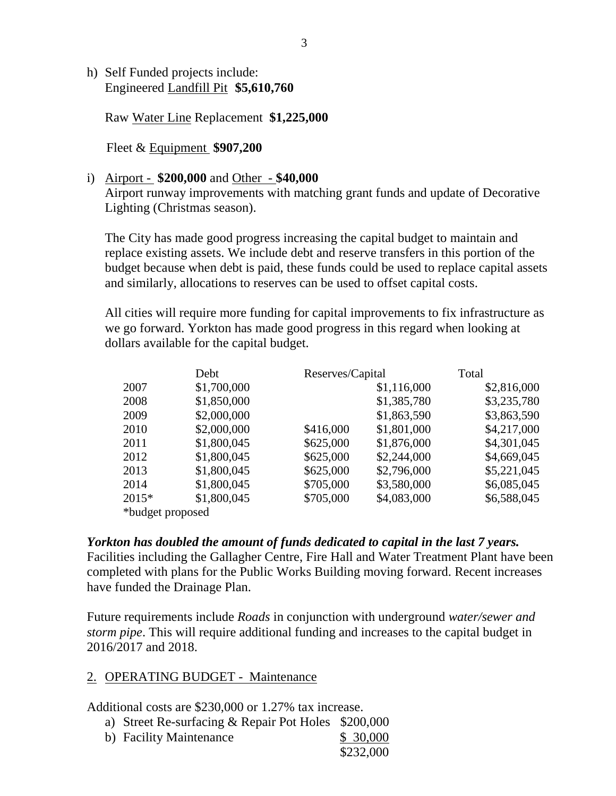h) Self Funded projects include: Engineered Landfill Pit **\$5,610,760**

Raw Water Line Replacement **\$1,225,000**

Fleet & Equipment **\$907,200** 

#### i) Airport - **\$200,000** and Other - **\$40,000**

Airport runway improvements with matching grant funds and update of Decorative Lighting (Christmas season).

The City has made good progress increasing the capital budget to maintain and replace existing assets. We include debt and reserve transfers in this portion of the budget because when debt is paid, these funds could be used to replace capital assets and similarly, allocations to reserves can be used to offset capital costs.

All cities will require more funding for capital improvements to fix infrastructure as we go forward. Yorkton has made good progress in this regard when looking at dollars available for the capital budget.

|                  | Debt        | Reserves/Capital |             | Total       |
|------------------|-------------|------------------|-------------|-------------|
| 2007             | \$1,700,000 |                  | \$1,116,000 | \$2,816,000 |
| 2008             | \$1,850,000 |                  | \$1,385,780 | \$3,235,780 |
| 2009             | \$2,000,000 |                  | \$1,863,590 | \$3,863,590 |
| 2010             | \$2,000,000 | \$416,000        | \$1,801,000 | \$4,217,000 |
| 2011             | \$1,800,045 | \$625,000        | \$1,876,000 | \$4,301,045 |
| 2012             | \$1,800,045 | \$625,000        | \$2,244,000 | \$4,669,045 |
| 2013             | \$1,800,045 | \$625,000        | \$2,796,000 | \$5,221,045 |
| 2014             | \$1,800,045 | \$705,000        | \$3,580,000 | \$6,085,045 |
| $2015*$          | \$1,800,045 | \$705,000        | \$4,083,000 | \$6,588,045 |
| *budget proposed |             |                  |             |             |

*Yorkton has doubled the amount of funds dedicated to capital in the last 7 years.*  Facilities including the Gallagher Centre, Fire Hall and Water Treatment Plant have been completed with plans for the Public Works Building moving forward. Recent increases have funded the Drainage Plan.

Future requirements include *Roads* in conjunction with underground *water/sewer and storm pipe*. This will require additional funding and increases to the capital budget in 2016/2017 and 2018.

#### 2. OPERATING BUDGET - Maintenance

Additional costs are \$230,000 or 1.27% tax increase.

- a) Street Re-surfacing & Repair Pot Holes \$200,000
- b) Facility Maintenance \$ 30,000 \$232,000

3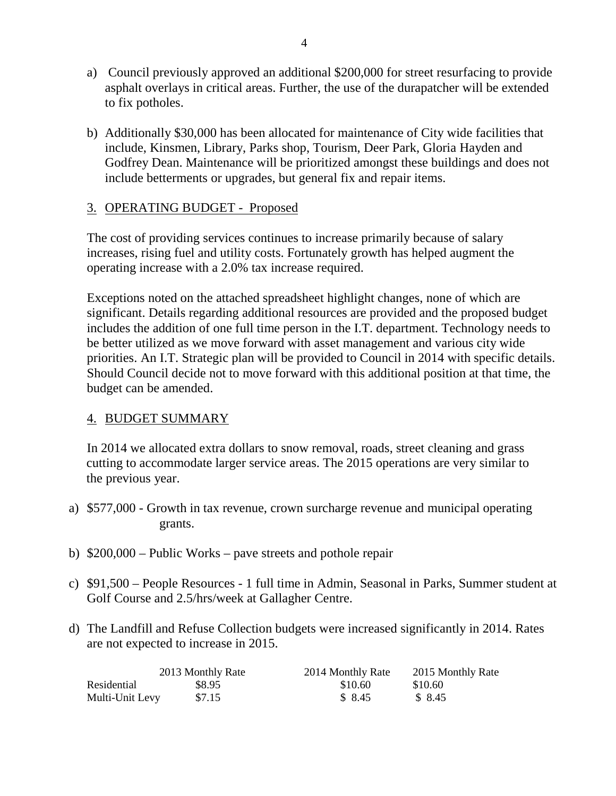- a) Council previously approved an additional \$200,000 for street resurfacing to provide asphalt overlays in critical areas. Further, the use of the durapatcher will be extended to fix potholes.
- b) Additionally \$30,000 has been allocated for maintenance of City wide facilities that include, Kinsmen, Library, Parks shop, Tourism, Deer Park, Gloria Hayden and Godfrey Dean. Maintenance will be prioritized amongst these buildings and does not include betterments or upgrades, but general fix and repair items.

### 3. OPERATING BUDGET - Proposed

The cost of providing services continues to increase primarily because of salary increases, rising fuel and utility costs. Fortunately growth has helped augment the operating increase with a 2.0% tax increase required.

Exceptions noted on the attached spreadsheet highlight changes, none of which are significant. Details regarding additional resources are provided and the proposed budget includes the addition of one full time person in the I.T. department. Technology needs to be better utilized as we move forward with asset management and various city wide priorities. An I.T. Strategic plan will be provided to Council in 2014 with specific details. Should Council decide not to move forward with this additional position at that time, the budget can be amended.

#### 4. BUDGET SUMMARY

In 2014 we allocated extra dollars to snow removal, roads, street cleaning and grass cutting to accommodate larger service areas. The 2015 operations are very similar to the previous year.

- a) \$577,000 Growth in tax revenue, crown surcharge revenue and municipal operating grants.
- b) \$200,000 Public Works pave streets and pothole repair
- c) \$91,500 People Resources 1 full time in Admin, Seasonal in Parks, Summer student at Golf Course and 2.5/hrs/week at Gallagher Centre.
- d) The Landfill and Refuse Collection budgets were increased significantly in 2014. Rates are not expected to increase in 2015.

|                 | 2013 Monthly Rate | 2014 Monthly Rate | 2015 Monthly Rate |
|-----------------|-------------------|-------------------|-------------------|
| Residential     | \$8.95            | \$10.60           | \$10.60           |
| Multi-Unit Levy | \$7.15            | \$ 8.45           | \$ 8.45           |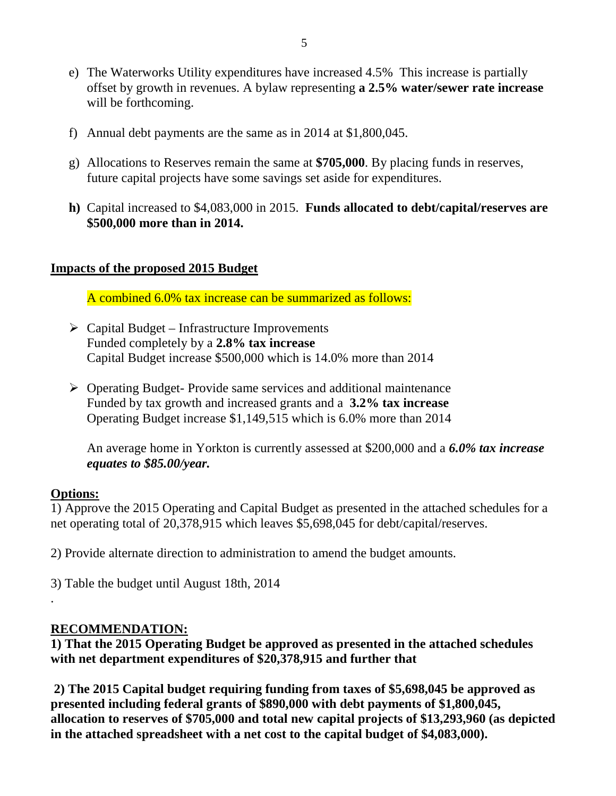- e) The Waterworks Utility expenditures have increased 4.5% This increase is partially offset by growth in revenues. A bylaw representing **a 2.5% water/sewer rate increase** will be forthcoming.
- f) Annual debt payments are the same as in 2014 at \$1,800,045.
- g) Allocations to Reserves remain the same at **\$705,000**. By placing funds in reserves, future capital projects have some savings set aside for expenditures.
- **h)** Capital increased to \$4,083,000 in 2015. **Funds allocated to debt/capital/reserves are \$500,000 more than in 2014.**

#### **Impacts of the proposed 2015 Budget**

A combined 6.0% tax increase can be summarized as follows:

- $\triangleright$  Capital Budget Infrastructure Improvements Funded completely by a **2.8% tax increase** Capital Budget increase \$500,000 which is 14.0% more than 2014
- $\triangleright$  Operating Budget-Provide same services and additional maintenance Funded by tax growth and increased grants and a **3.2% tax increase** Operating Budget increase \$1,149,515 which is 6.0% more than 2014

An average home in Yorkton is currently assessed at \$200,000 and a *6.0% tax increase equates to \$85.00/year.*

#### **Options:**

.

1) Approve the 2015 Operating and Capital Budget as presented in the attached schedules for a net operating total of 20,378,915 which leaves \$5,698,045 for debt/capital/reserves.

2) Provide alternate direction to administration to amend the budget amounts.

3) Table the budget until August 18th, 2014

#### **RECOMMENDATION:**

**1) That the 2015 Operating Budget be approved as presented in the attached schedules with net department expenditures of \$20,378,915 and further that**

**2) The 2015 Capital budget requiring funding from taxes of \$5,698,045 be approved as presented including federal grants of \$890,000 with debt payments of \$1,800,045, allocation to reserves of \$705,000 and total new capital projects of \$13,293,960 (as depicted in the attached spreadsheet with a net cost to the capital budget of \$4,083,000).**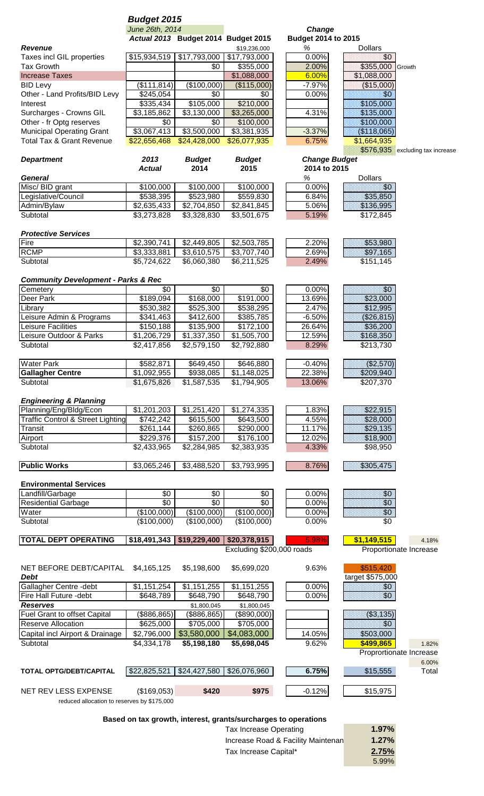#### *Budget 2015 June 26th, 2014 Change*

|                                                              |                                | Actual 2013 Budget 2014 Budget 2015 |                                  | <b>Budget 2014 to 2015</b>           |
|--------------------------------------------------------------|--------------------------------|-------------------------------------|----------------------------------|--------------------------------------|
| <b>Revenue</b>                                               |                                |                                     | \$19,236,000                     | %<br><b>Dollars</b>                  |
| Taxes incl GIL properties                                    | \$15,934,519                   | \$17,793,000                        | \$17,793,000                     | 0.00%<br>\$0                         |
| <b>Tax Growth</b>                                            |                                | \$0                                 | \$355,000                        | 2.00%<br>\$355,000 Growth            |
| <b>Increase Taxes</b>                                        |                                |                                     | \$1,088,000                      | \$1,088,000<br>6.00%                 |
| <b>BID Levy</b>                                              | (\$111, 814)                   | $(*100,000)$                        | (\$115,000)                      | $-7.97%$<br>(\$15,000)               |
| Other - Land Profits/BID Levy                                | \$245,054                      | \$0                                 | \$0                              | 0.00%<br>\$0                         |
| Interest                                                     | \$335,434                      | \$105,000                           | \$210,000                        | \$105,000                            |
| Surcharges - Crowns GIL                                      | \$3,185,862                    | \$3,130,000                         | \$3,265,000                      | 4.31%<br>\$135,000                   |
| Other - fr Optg reserves<br><b>Municipal Operating Grant</b> | \$0<br>$\overline{$3,067,413}$ | \$0<br>\$3,500,000                  | $\sqrt{$100,000}$<br>\$3,381,935 | \$100,000<br>$-3.37%$<br>(\$118,065) |
| <b>Total Tax &amp; Grant Revenue</b>                         | \$22,656,468                   | \$24,428,000                        | \$26,077,935                     | 6.75%<br>\$1,664,935                 |
|                                                              |                                |                                     |                                  | \$576,935 excluding tax increase     |
| <b>Department</b>                                            | 2013                           | <b>Budget</b>                       | <b>Budget</b>                    | <b>Change Budget</b>                 |
|                                                              | <b>Actual</b>                  | 2014                                | 2015                             | 2014 to 2015                         |
| <b>General</b>                                               |                                |                                     |                                  | <b>Dollars</b><br>$\%$               |
| Misc/ BID grant                                              | \$100,000                      | \$100,000                           | \$100,000                        | 0.00%<br>\$0                         |
| _egislative/Council                                          | \$538,395                      | \$523,980                           | \$559,830                        | \$35,850<br>6.84%                    |
| Admin/Bylaw                                                  | \$2,635,433                    | \$2,704,850                         | \$2,841,845                      | 5.06%<br>\$136,995                   |
| Subtotal                                                     | \$3,273,828                    | \$3,328,830                         | \$3,501,675                      | 5.19%<br>\$172,845                   |
|                                                              |                                |                                     |                                  |                                      |
| <b>Protective Services</b>                                   |                                |                                     |                                  |                                      |
| Fire                                                         | \$2,390,741                    | \$2,449,805                         | \$2,503,785                      | 2.20%<br>\$53,980                    |
| <b>RCMP</b>                                                  | \$3,333,881                    | \$3,610,575                         | \$3,707,740                      | 2.69%<br>\$97,165                    |
| Subtotal                                                     | \$5,724,622                    | \$6,060,380                         | \$6,211,525                      | 2.49%<br>\$151,145                   |
|                                                              |                                |                                     |                                  |                                      |
| <b>Community Development - Parks &amp; Rec</b>               |                                |                                     |                                  |                                      |
| Cemetery                                                     | \$0                            | \$0                                 | \$0                              | 0.00%<br>\$0                         |
| Deer Park                                                    | \$189,094                      | \$168,000                           | \$191,000                        | \$23,000<br>13.69%                   |
| Library                                                      | \$530,382                      | \$525,300                           | \$538,295                        | 2.47%<br>\$12,995                    |
| Leisure Admin & Programs                                     | \$341,463                      | \$412,600                           | \$385,785                        | $-6.50%$<br>(\$26,815)               |
| Leisure Facilities                                           | \$150,188                      | \$135,900                           | \$172,100                        | 26.64%<br>\$36,200                   |
| Leisure Outdoor & Parks                                      | \$1,206,729                    | \$1,337,350                         | \$1,505,700                      | \$168,350<br>12.59%                  |
| Subtotal                                                     | \$2,417,856                    | \$2,579,150                         | \$2,792,880                      | 8.29%<br>\$213,730                   |
|                                                              |                                |                                     |                                  |                                      |
| <b>Water Park</b>                                            | \$582,871                      | \$649,450                           | \$646,880                        | (\$2,570)<br>$-0.40%$                |
| <b>Gallagher Centre</b><br>Subtotal                          | \$1,092,955                    | \$938,085                           | \$1,148,025<br>\$1,794,905       | 22.38%<br>\$209,940<br>\$207,370     |
|                                                              | \$1,675,826                    | \$1,587,535                         |                                  | 13.06%                               |
| <b>Engineering &amp; Planning</b>                            |                                |                                     |                                  |                                      |
| Planning/Eng/Bldg/Econ                                       | \$1,201,203                    | \$1,251,420                         | \$1,274,335                      | 1.83%<br>\$22,915                    |
| <b>Traffic Control &amp; Street Lighting</b>                 | \$742,242                      | \$615,500                           | \$643,500                        | 4.55%<br>\$28,000                    |
| Transit                                                      | \$261,144                      | \$260,865                           | \$290,000                        | 11.17%<br>\$29,135                   |
| Airport                                                      | \$229,376                      | \$157,200                           | \$176,100                        | 12.02%<br>\$18,900                   |
| Subtotal                                                     | \$2,433,965                    | \$2,284,985                         | $\overline{2,}383,935$           | \$98,950<br>4.33%                    |
|                                                              |                                |                                     |                                  |                                      |
| <b>Public Works</b>                                          | \$3,065,246                    | \$3,488,520                         | \$3,793,995                      | 8.76%<br>\$305,475                   |
|                                                              |                                |                                     |                                  |                                      |
| <b>Environmental Services</b>                                |                                |                                     |                                  |                                      |
| Landfill/Garbage                                             | \$0                            | \$0                                 | \$0                              | 0.00%<br>\$0                         |
| <b>Residential Garbage</b>                                   | $\overline{50}$                | $\overline{50}$                     | $\overline{50}$                  | \$0<br>0.00%                         |
| Water                                                        | (\$100,000)                    | (\$100,000)                         | (\$100,000)                      | \$0<br>0.00%                         |
| Subtotal                                                     | (\$100,000)                    | (\$100,000)                         | (\$100,000)                      | 0.00%<br>\$0                         |
|                                                              |                                |                                     |                                  |                                      |
| <b>TOTAL DEPT OPERATING</b>                                  | \$18,491,343                   | \$19,229,400                        | \$20,378,915                     | \$1,149,515<br>5.98%<br>4.18%        |
|                                                              |                                |                                     | Excluding \$200,000 roads        | Proportionate Increase               |
|                                                              |                                |                                     |                                  |                                      |
| NET BEFORE DEBT/CAPITAL<br><b>Debt</b>                       | \$4,165,125                    | \$5,198,600                         | \$5,699,020                      | \$515,420<br>9.63%                   |
| Gallagher Centre - debt                                      | \$1,151,254                    | \$1,151,255                         | \$1,151,255                      | target \$575,000<br>0.00%<br>\$0     |
| Fire Hall Future - debt                                      | \$648,789                      | \$648,790                           | \$648,790                        | \$0<br>0.00%                         |
| <b>Reserves</b>                                              |                                | \$1,800,045                         | \$1,800,045                      |                                      |
| Fuel Grant to offset Capital                                 | (\$886, 865)                   | (\$886, 865)                        | (\$890,000)                      | ( \$3, 135)                          |
| <b>Reserve Allocation</b>                                    | \$625,000                      | \$705,000                           | \$705,000                        | \$0                                  |
| Capital incl Airport & Drainage                              | \$2,796,000                    | \$3,580,000                         | \$4,083,000                      | 14.05%<br>\$503,000                  |
| Subtotal                                                     | \$4,334,178                    | \$5,198,180                         | \$5,698,045                      | 9.62%<br>\$499,865<br>1.82%          |
|                                                              |                                |                                     |                                  | Proprortionate Increase              |
|                                                              |                                |                                     |                                  | 6.00%                                |
| TOTAL OPTG/DEBT/CAPITAL                                      | \$22,825,521                   | \$24,427,580                        | \$26,076,960                     | 6.75%<br>\$15,555<br>Total           |
|                                                              |                                |                                     |                                  |                                      |
| <b>NET REV LESS EXPENSE</b>                                  | (\$169,053)                    | \$420                               | \$975                            | $-0.12%$<br>\$15,975                 |
| reduced allocation to reserves by \$175,000                  |                                |                                     |                                  |                                      |

**Based on tax growth, interest, grants/surcharges to operations**

| Tax Increase Operating             | $1.97\%$ |
|------------------------------------|----------|
| Increase Road & Facility Maintenan | $1.27\%$ |
| Tax Increase Capital*              | 2.75%    |
|                                    | $5.99\%$ |
|                                    |          |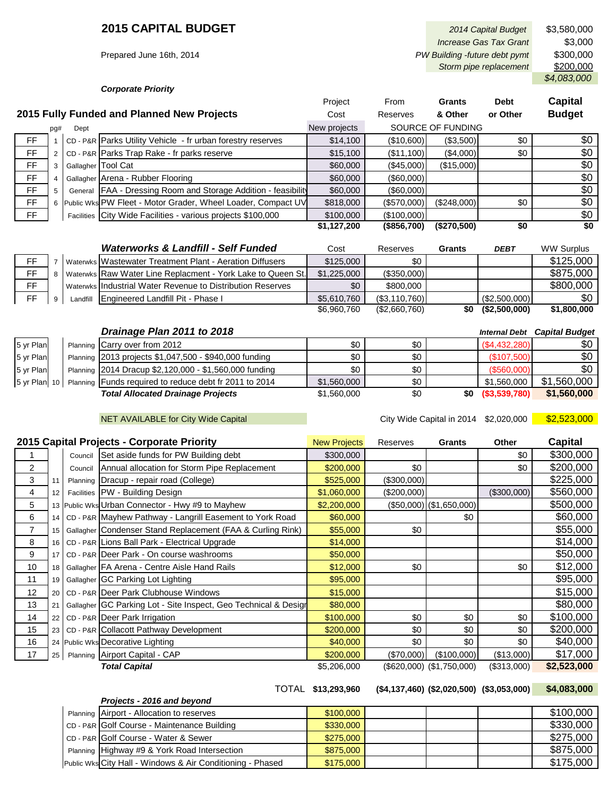*Corporate Priority*

|             |  |  |                                                                | Project     | From              | <b>Grants</b> | <b>Debt</b> | <b>Capital</b> |
|-------------|--|--|----------------------------------------------------------------|-------------|-------------------|---------------|-------------|----------------|
|             |  |  | 2015 Fully Funded and Planned New Projects                     | Cost        | Reserves          | & Other       | or Other    | <b>Budget</b>  |
| Dept<br>pg# |  |  | New projects                                                   |             | SOURCE OF FUNDING |               |             |                |
| FF.         |  |  | CD - P&R Parks Utility Vehicle - fr urban forestry reserves    | \$14,100    | (\$10,600)        | (\$3,500)     | \$0         | \$0            |
| <b>FF</b>   |  |  | CD - P&R Parks Trap Rake - fr parks reserve                    | \$15,100    | (\$11,100)        | (\$4,000)     | \$0         | \$0            |
| FF.         |  |  | Gallagher Tool Cat                                             | \$60,000    | (\$45,000)        | (\$15,000)    |             | \$0            |
| <b>FF</b>   |  |  | Gallagher Arena - Rubber Flooring                              | \$60,000    | $($ \$60,000)     |               |             | \$0            |
| FF.         |  |  | General FAA - Dressing Room and Storage Addition - feasibility | \$60,000    | $($ \$60,000) $ $ |               |             | \$0            |
| <b>FF</b>   |  |  | 6 Public Wks PW Fleet - Motor Grader, Wheel Loader, Compact UV | \$818,000   | (\$570,000)       | (S248,000)    | \$0         | \$0            |
| FF.         |  |  | Facilities City Wide Facilities - various projects \$100,000   | \$100,000   | (\$100,000)       |               |             | \$0            |
|             |  |  |                                                                | \$1,127,200 | (\$856,700)       | (\$270,500)   | \$0         | \$0            |

|           |     | <b>Waterworks &amp; Landfill - Self Funded</b>              | Cost        | Reserves      | Grants | <b>DEBT</b>   | <b>WW Surplus</b> |
|-----------|-----|-------------------------------------------------------------|-------------|---------------|--------|---------------|-------------------|
| FF.       |     | Waterwks Wastewater Treatment Plant - Aeration Diffusers    | \$125,000   | \$0           |        |               | \$125,000         |
| FF.       | 8 I | Waterwks Raw Water Line Replacment - York Lake to Queen St. | \$1,225,000 | (\$350,000)   |        |               | \$875,000         |
| <b>FF</b> |     | Waterwks IIndustrial Water Revenue to Distribution Reserves | \$0         | \$800,000     |        |               | \$800,000         |
| FF.       |     | Landfill Engineered Landfill Pit - Phase I                  | \$5,610,760 | (\$3,110,760) |        | (S2,500,000)  | \$0               |
|           |     |                                                             | \$6,960,760 | (\$2,660,760) | \$0    | (\$2,500,000) | \$1,800,000       |

| Drainage Plan 2011 to 2018 |  |  |
|----------------------------|--|--|
|                            |  |  |

|           |  | Drainage Plan 2011 to 2018                                            |             |     |     | <b>Internal Debt</b> | <b>Capital Budget</b> |
|-----------|--|-----------------------------------------------------------------------|-------------|-----|-----|----------------------|-----------------------|
| 5 yr Plan |  | Planning Carry over from 2012                                         | \$0         | \$0 |     | (S4, 432, 280)       | \$0                   |
| 5 yr Plan |  | Planning 2013 projects \$1,047,500 - \$940,000 funding                | \$0         | \$0 |     | (\$107,500)          | \$0                   |
| 5 yr Plan |  | Planning 2014 Dracup \$2,120,000 - \$1,560,000 funding                | \$0         | \$0 |     | (S560,000)           | \$0                   |
|           |  | 5 yr Plan 10   Planning Funds required to reduce debt fr 2011 to 2014 | \$1,560,000 | \$0 |     | \$1,560,000          | \$1,560,000           |
|           |  | <b>Total Allocated Drainage Projects</b>                              | \$1,560,000 | \$0 | \$0 | (S3, 539, 780)       | \$1,560,000           |
|           |  |                                                                       |             |     |     |                      |                       |

NET AVAILABLE for City Wide Capital City City Wide Capital in 2014 \$2,020,000 **\$2,523,000** 

|                |                   |         | 2015 Capital Projects - Corporate Priority                      | <b>New Projects</b> | Reserves      | <b>Grants</b>               | Other       | Capital     |
|----------------|-------------------|---------|-----------------------------------------------------------------|---------------------|---------------|-----------------------------|-------------|-------------|
|                |                   |         | Council Set aside funds for PW Building debt                    | \$300,000           |               |                             | \$0         | \$300,000   |
| $\overline{2}$ |                   | Council | Annual allocation for Storm Pipe Replacement                    | \$200,000           | \$0           |                             | \$0         | \$200,000   |
| 3              | l 11              |         | Planning Dracup - repair road (College)                         | \$525,000           | (\$300,000)   |                             |             | \$225,000   |
| 4              | $12 \overline{ }$ |         | Facilities   PW - Building Design                               | \$1,060,000         | $(\$200,000)$ |                             | (\$300,000) | \$560,000   |
| 5              |                   |         | 13 Public Wks Urban Connector - Hwy #9 to Mayhew                | \$2,200,000         |               | $($50,000)$ $($1,650,000)$  |             | \$500,000   |
| 6              |                   |         | 14 CD - P&R Mayhew Pathway - Langrill Easement to York Road     | \$60,000            |               | \$0                         |             | \$60,000    |
| 7              |                   |         | 15 Gallagher Condenser Stand Replacement (FAA & Curling Rink)   | \$55,000            | \$0           |                             |             | \$55,000    |
| 8              |                   |         | 16 CD - P&R Lions Ball Park - Electrical Upgrade                | \$14,000            |               |                             |             | \$14,000    |
| 9              |                   |         | 17 CD - P&R Deer Park - On course washrooms                     | \$50,000            |               |                             |             | \$50,000    |
| 10             |                   |         | 18 Gallagher FA Arena - Centre Aisle Hand Rails                 | \$12,000            | \$0           |                             | \$0         | \$12,000    |
| 11             |                   |         | 19 Gallagher GC Parking Lot Lighting                            | \$95,000            |               |                             |             | \$95,000    |
| 12             |                   |         | 20 CD - P&R Deer Park Clubhouse Windows                         | \$15,000            |               |                             |             | \$15,000    |
| 13             | 21                |         | Gallagher GC Parking Lot - Site Inspect, Geo Technical & Desigr | \$80,000            |               |                             |             | \$80,000    |
| 14             |                   |         | 22 CD - P&R Deer Park Irrigation                                | \$100,000           | \$0           | \$0                         | \$0         | \$100,000   |
| 15             |                   |         | 23 CD - P&R Collacott Pathway Development                       | \$200,000           | \$0           | \$0                         | \$0         | \$200,000   |
| 16             |                   |         | 24 Public Wks Decorative Lighting                               | \$40,000            | \$0           | \$0                         | \$0         | \$40,000    |
| 17             |                   |         | 25 Planning Airport Capital - CAP                               | \$200,000           | (\$70,000)    | (\$100,000)                 | (\$13,000)  | \$17,000    |
|                |                   |         | <b>Total Capital</b>                                            | \$5,206,000         |               | $($620,000)$ $($1,750,000)$ | (\$313,000) | \$2,523,000 |
|                |                   |         |                                                                 |                     |               |                             |             |             |

#### TOTAL **\$13,293,960 (\$4,137,460) (\$2,020,500) (\$3,053,000) \$4,083,000**

|  | Projects - 2016 and beyond                                 |           |           |
|--|------------------------------------------------------------|-----------|-----------|
|  | Planning Airport - Allocation to reserves                  | \$100,000 | \$100,000 |
|  | CD - P&R Golf Course - Maintenance Building                | \$330,000 | \$330,000 |
|  | CD - P&R Golf Course - Water & Sewer                       | \$275,000 | \$275,000 |
|  | Planning Highway #9 & York Road Intersection               | \$875,000 | \$875,000 |
|  | Public Wks City Hall - Windows & Air Conditioning - Phased | \$175,000 | \$175,000 |